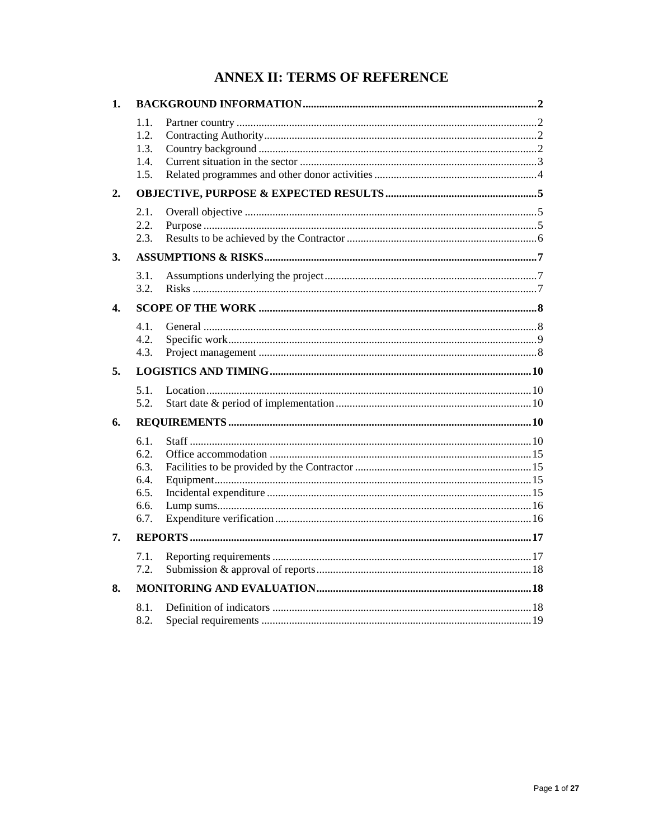# **ANNEX II: TERMS OF REFERENCE**

| 1. |                                                      |  |  |  |  |  |
|----|------------------------------------------------------|--|--|--|--|--|
|    | 1.1.<br>1.2.<br>1.3.<br>1.4.<br>1.5.                 |  |  |  |  |  |
| 2. |                                                      |  |  |  |  |  |
|    | 2.1.<br>2.2.<br>2.3.                                 |  |  |  |  |  |
| 3. |                                                      |  |  |  |  |  |
|    | 3.1.<br>3.2.                                         |  |  |  |  |  |
| 4. |                                                      |  |  |  |  |  |
|    | 4.1.<br>4.2.<br>4.3.                                 |  |  |  |  |  |
| 5. |                                                      |  |  |  |  |  |
|    | 5.1.<br>5.2.                                         |  |  |  |  |  |
| 6. |                                                      |  |  |  |  |  |
|    | 6.1.<br>6.2.<br>6.3.<br>6.4.<br>6.5.<br>6.6.<br>6.7. |  |  |  |  |  |
| 7. |                                                      |  |  |  |  |  |
|    | 7.1.<br>7.2.                                         |  |  |  |  |  |
| 8. |                                                      |  |  |  |  |  |
|    | 8.1.<br>8.2.                                         |  |  |  |  |  |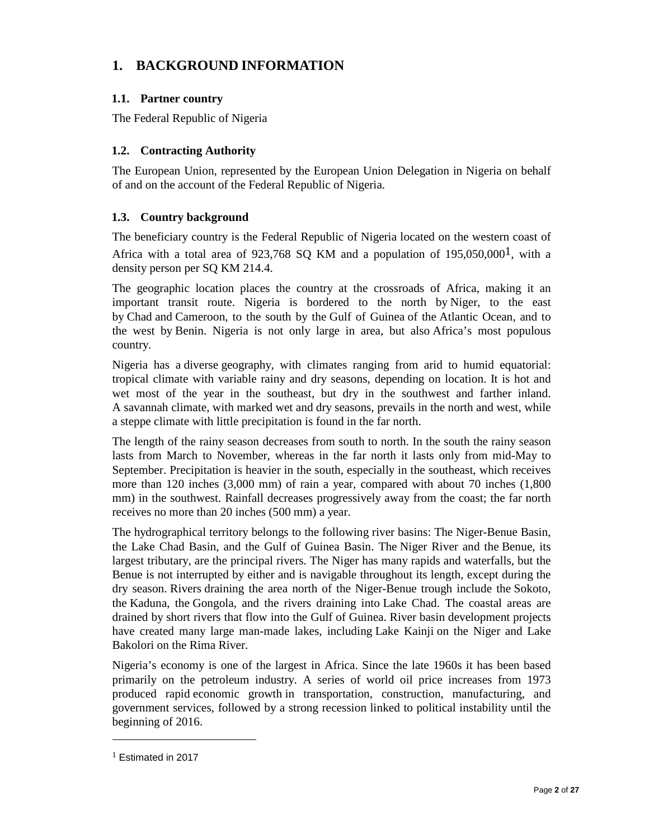# **1. BACKGROUND INFORMATION**

## **1.1. Partner country**

The Federal Republic of Nigeria

## **1.2. Contracting Authority**

The European Union, represented by the European Union Delegation in Nigeria on behalf of and on the account of the Federal Republic of Nigeria.

## **1.3. Country background**

The beneficiary country is the Federal Republic of Nigeria located on the western coast of Africa with a total area of 923,768 SQ KM and a population of  $195,050,000^1$ , with a density person per SQ KM 214.4.

The geographic location places the country at the crossroads of Africa, making it an important transit route. Nigeria is bordered to the north by Niger, to the east by Chad and Cameroon, to the south by the Gulf of Guinea of the Atlantic Ocean, and to the west by Benin. Nigeria is not only large in area, but also Africa's most populous country.

Nigeria has a diverse geography, with climates ranging from arid to humid equatorial: tropical climate with variable rainy and dry seasons, depending on location. It is hot and wet most of the year in the southeast, but dry in the southwest and farther inland. A savannah climate, with marked wet and dry seasons, prevails in the north and west, while a steppe climate with little precipitation is found in the far north.

The length of the rainy season decreases from south to north. In the south the rainy season lasts from March to November, whereas in the far north it lasts only from mid-May to September. Precipitation is heavier in the south, especially in the southeast, which receives more than 120 inches (3,000 mm) of rain a year, compared with about 70 inches (1,800 mm) in the southwest. Rainfall decreases progressively away from the coast; the far north receives no more than 20 inches (500 mm) a year.

The hydrographical territory belongs to the following river basins: The Niger-Benue Basin, the Lake Chad Basin, and the Gulf of Guinea Basin. The Niger River and the Benue, its largest tributary, are the principal rivers. The Niger has many rapids and waterfalls, but the Benue is not interrupted by either and is navigable throughout its length, except during the dry season. Rivers draining the area north of the Niger-Benue trough include the Sokoto, the Kaduna, the Gongola, and the rivers draining into Lake Chad. The coastal areas are drained by short rivers that flow into the Gulf of Guinea. River basin development projects have created many large man-made lakes, including Lake Kainji on the Niger and Lake Bakolori on the Rima River.

Nigeria's economy is one of the largest in Africa. Since the late 1960s it has been based primarily on the petroleum industry. A series of world oil price increases from 1973 produced rapid economic growth in transportation, construction, manufacturing, and government services, followed by a strong recession linked to political instability until the beginning of 2016.

<sup>1</sup> Estimated in 2017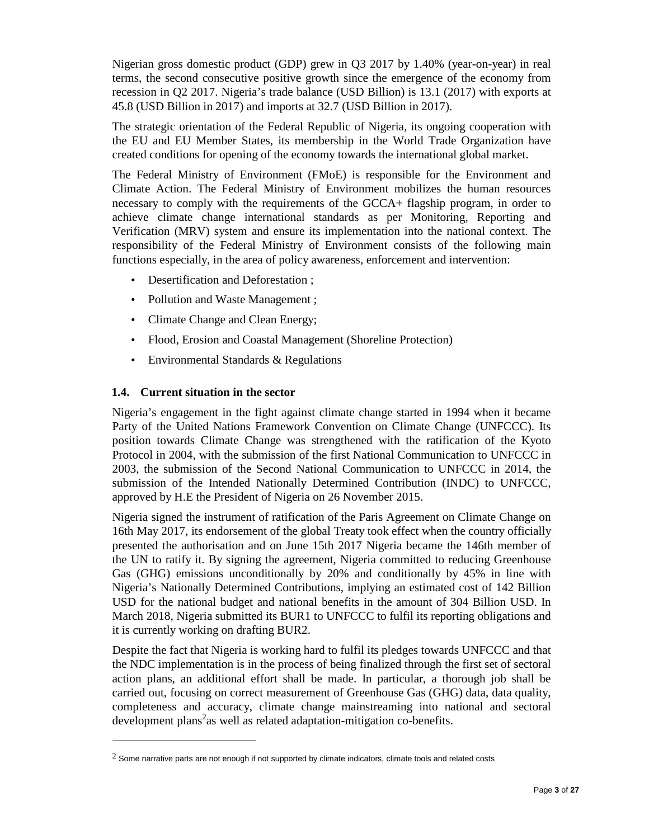Nigerian gross domestic product (GDP) grew in Q3 2017 by 1.40% (year-on-year) in real terms, the second consecutive positive growth since the emergence of the economy from recession in Q2 2017. Nigeria's trade balance (USD Billion) is 13.1 (2017) with exports at 45.8 (USD Billion in 2017) and imports at 32.7 (USD Billion in 2017).

The strategic orientation of the Federal Republic of Nigeria, its ongoing cooperation with the EU and EU Member States, its membership in the World Trade Organization have created conditions for opening of the economy towards the international global market.

The Federal Ministry of Environment (FMoE) is responsible for the Environment and Climate Action. The Federal Ministry of Environment mobilizes the human resources necessary to comply with the requirements of the GCCA+ flagship program, in order to achieve climate change international standards as per Monitoring, Reporting and Verification (MRV) system and ensure its implementation into the national context. The responsibility of the Federal Ministry of Environment consists of the following main functions especially, in the area of policy awareness, enforcement and intervention:

- Desertification and Deforestation ;
- Pollution and Waste Management ;
- Climate Change and Clean Energy;
- Flood, Erosion and Coastal Management (Shoreline Protection)
- Environmental Standards & Regulations

#### **1.4. Current situation in the sector**

 $\overline{a}$ 

Nigeria's engagement in the fight against climate change started in 1994 when it became Party of the United Nations Framework Convention on Climate Change (UNFCCC). Its position towards Climate Change was strengthened with the ratification of the Kyoto Protocol in 2004, with the submission of the first National Communication to UNFCCC in 2003, the submission of the Second National Communication to UNFCCC in 2014, the submission of the Intended Nationally Determined Contribution (INDC) to UNFCCC, approved by H.E the President of Nigeria on 26 November 2015.

Nigeria signed the instrument of ratification of the Paris Agreement on Climate Change on 16th May 2017, its endorsement of the global Treaty took effect when the country officially presented the authorisation and on June 15th 2017 Nigeria became the 146th member of the UN to ratify it. By signing the agreement, Nigeria committed to reducing Greenhouse Gas (GHG) emissions unconditionally by 20% and conditionally by 45% in line with Nigeria's Nationally Determined Contributions, implying an estimated cost of 142 Billion USD for the national budget and national benefits in the amount of 304 Billion USD. In March 2018, Nigeria submitted its BUR1 to UNFCCC to fulfil its reporting obligations and it is currently working on drafting BUR2.

Despite the fact that Nigeria is working hard to fulfil its pledges towards UNFCCC and that the NDC implementation is in the process of being finalized through the first set of sectoral action plans, an additional effort shall be made. In particular, a thorough job shall be carried out, focusing on correct measurement of Greenhouse Gas (GHG) data, data quality, completeness and accuracy, climate change mainstreaming into national and sectoral development plans<sup>2</sup>as well as related adaptation-mitigation co-benefits.

 $^2$  Some narrative parts are not enough if not supported by climate indicators, climate tools and related costs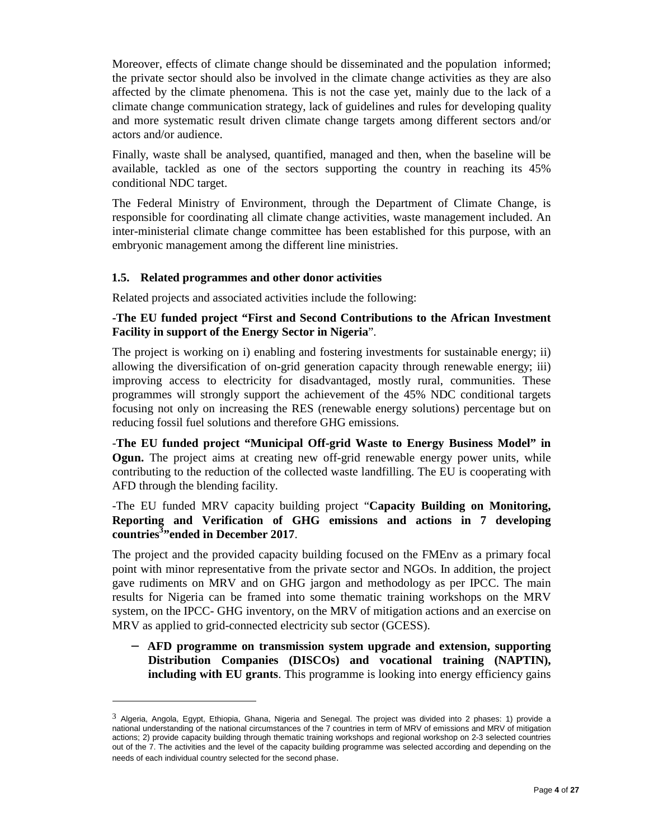Moreover, effects of climate change should be disseminated and the population informed; the private sector should also be involved in the climate change activities as they are also affected by the climate phenomena. This is not the case yet, mainly due to the lack of a climate change communication strategy, lack of guidelines and rules for developing quality and more systematic result driven climate change targets among different sectors and/or actors and/or audience.

Finally, waste shall be analysed, quantified, managed and then, when the baseline will be available, tackled as one of the sectors supporting the country in reaching its 45% conditional NDC target.

The Federal Ministry of Environment, through the Department of Climate Change, is responsible for coordinating all climate change activities, waste management included. An inter-ministerial climate change committee has been established for this purpose, with an embryonic management among the different line ministries.

#### **1.5. Related programmes and other donor activities**

 $\overline{a}$ 

Related projects and associated activities include the following:

## **-The EU funded project "First and Second Contributions to the African Investment Facility in support of the Energy Sector in Nigeria**".

The project is working on i) enabling and fostering investments for sustainable energy; ii) allowing the diversification of on-grid generation capacity through renewable energy; iii) improving access to electricity for disadvantaged, mostly rural, communities. These programmes will strongly support the achievement of the 45% NDC conditional targets focusing not only on increasing the RES (renewable energy solutions) percentage but on reducing fossil fuel solutions and therefore GHG emissions.

-**The EU funded project "Municipal Off-grid Waste to Energy Business Model" in Ogun.** The project aims at creating new off-grid renewable energy power units, while contributing to the reduction of the collected waste landfilling. The EU is cooperating with AFD through the blending facility.

## -The EU funded MRV capacity building project "**Capacity Building on Monitoring, Reporting and Verification of GHG emissions and actions in 7 developing countries<sup>3</sup> "ended in December 2017**.

The project and the provided capacity building focused on the FMEnv as a primary focal point with minor representative from the private sector and NGOs. In addition, the project gave rudiments on MRV and on GHG jargon and methodology as per IPCC. The main results for Nigeria can be framed into some thematic training workshops on the MRV system, on the IPCC- GHG inventory, on the MRV of mitigation actions and an exercise on MRV as applied to grid-connected electricity sub sector (GCESS).

− **AFD programme on transmission system upgrade and extension, supporting Distribution Companies (DISCOs) and vocational training (NAPTIN), including with EU grants**. This programme is looking into energy efficiency gains

 $3$  Algeria, Angola, Egypt, Ethiopia, Ghana, Nigeria and Senegal. The project was divided into 2 phases: 1) provide a national understanding of the national circumstances of the 7 countries in term of MRV of emissions and MRV of mitigation actions; 2) provide capacity building through thematic training workshops and regional workshop on 2-3 selected countries out of the 7. The activities and the level of the capacity building programme was selected according and depending on the needs of each individual country selected for the second phase.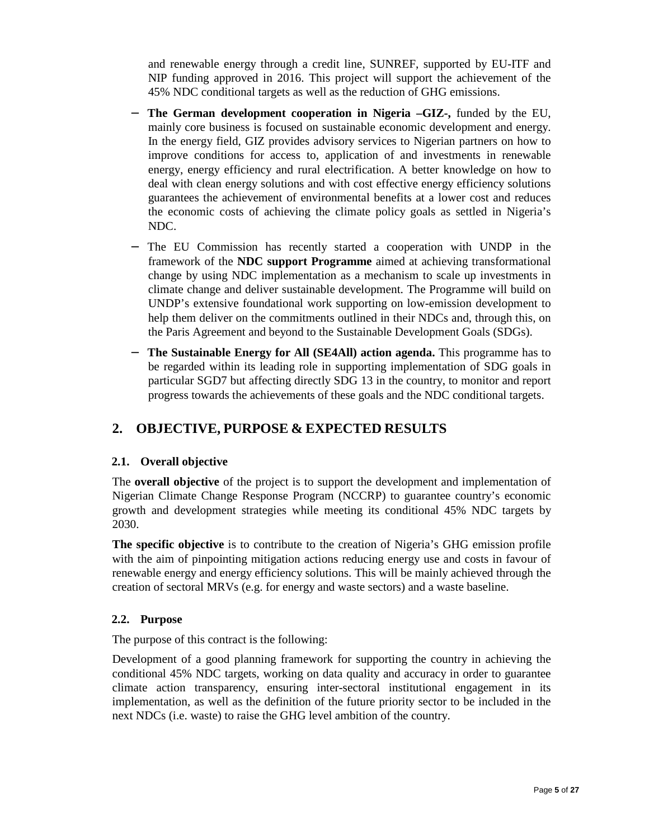and renewable energy through a credit line, SUNREF, supported by EU-ITF and NIP funding approved in 2016. This project will support the achievement of the 45% NDC conditional targets as well as the reduction of GHG emissions.

- − **The German development cooperation in Nigeria –GIZ-,** funded by the EU, mainly core business is focused on sustainable economic development and energy. In the energy field, GIZ provides advisory services to Nigerian partners on how to improve conditions for access to, application of and investments in renewable energy, energy efficiency and rural electrification. A better knowledge on how to deal with clean energy solutions and with cost effective energy efficiency solutions guarantees the achievement of environmental benefits at a lower cost and reduces the economic costs of achieving the climate policy goals as settled in Nigeria's NDC.
- − The EU Commission has recently started a cooperation with UNDP in the framework of the **NDC support Programme** aimed at achieving transformational change by using NDC implementation as a mechanism to scale up investments in climate change and deliver sustainable development. The Programme will build on UNDP's extensive foundational work supporting on low-emission development to help them deliver on the commitments outlined in their NDCs and, through this, on the Paris Agreement and beyond to the Sustainable Development Goals (SDGs).
- − **The Sustainable Energy for All (SE4All) action agenda.** This programme has to be regarded within its leading role in supporting implementation of SDG goals in particular SGD7 but affecting directly SDG 13 in the country, to monitor and report progress towards the achievements of these goals and the NDC conditional targets.

# **2. OBJECTIVE, PURPOSE & EXPECTED RESULTS**

#### **2.1. Overall objective**

The **overall objective** of the project is to support the development and implementation of Nigerian Climate Change Response Program (NCCRP) to guarantee country's economic growth and development strategies while meeting its conditional 45% NDC targets by 2030.

**The specific objective** is to contribute to the creation of Nigeria's GHG emission profile with the aim of pinpointing mitigation actions reducing energy use and costs in favour of renewable energy and energy efficiency solutions. This will be mainly achieved through the creation of sectoral MRVs (e.g. for energy and waste sectors) and a waste baseline.

#### **2.2. Purpose**

The purpose of this contract is the following:

Development of a good planning framework for supporting the country in achieving the conditional 45% NDC targets, working on data quality and accuracy in order to guarantee climate action transparency, ensuring inter-sectoral institutional engagement in its implementation, as well as the definition of the future priority sector to be included in the next NDCs (i.e. waste) to raise the GHG level ambition of the country.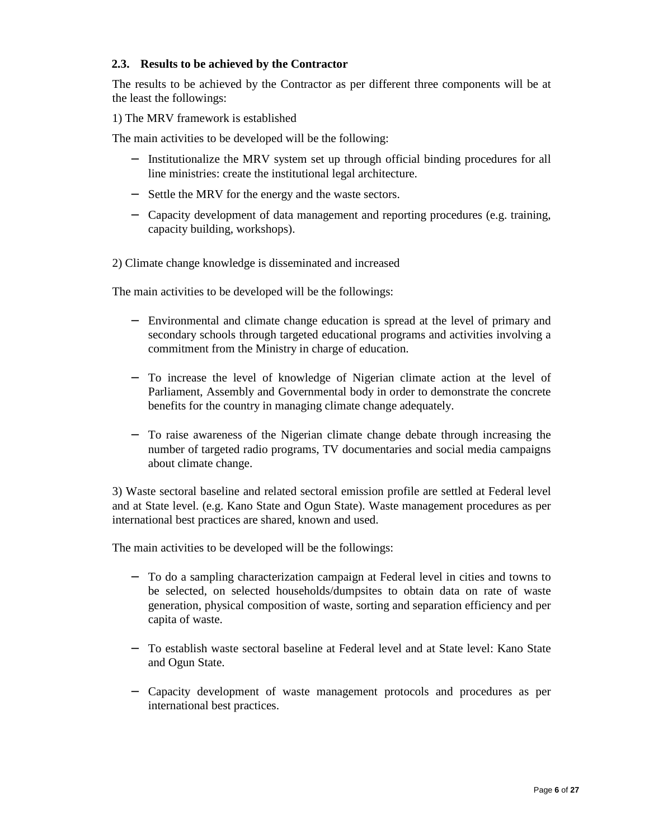### **2.3. Results to be achieved by the Contractor**

The results to be achieved by the Contractor as per different three components will be at the least the followings:

1) The MRV framework is established

The main activities to be developed will be the following:

- − Institutionalize the MRV system set up through official binding procedures for all line ministries: create the institutional legal architecture.
- − Settle the MRV for the energy and the waste sectors.
- − Capacity development of data management and reporting procedures (e.g. training, capacity building, workshops).

2) Climate change knowledge is disseminated and increased

The main activities to be developed will be the followings:

- − Environmental and climate change education is spread at the level of primary and secondary schools through targeted educational programs and activities involving a commitment from the Ministry in charge of education.
- − To increase the level of knowledge of Nigerian climate action at the level of Parliament, Assembly and Governmental body in order to demonstrate the concrete benefits for the country in managing climate change adequately.
- − To raise awareness of the Nigerian climate change debate through increasing the number of targeted radio programs, TV documentaries and social media campaigns about climate change.

3) Waste sectoral baseline and related sectoral emission profile are settled at Federal level and at State level. (e.g. Kano State and Ogun State). Waste management procedures as per international best practices are shared, known and used.

The main activities to be developed will be the followings:

- − To do a sampling characterization campaign at Federal level in cities and towns to be selected, on selected households/dumpsites to obtain data on rate of waste generation, physical composition of waste, sorting and separation efficiency and per capita of waste.
- − To establish waste sectoral baseline at Federal level and at State level: Kano State and Ogun State.
- − Capacity development of waste management protocols and procedures as per international best practices.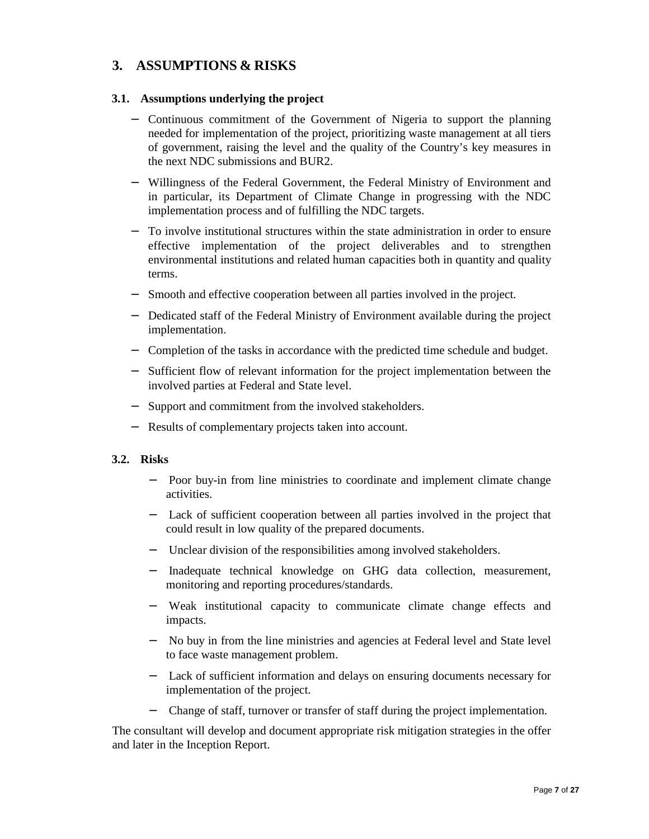## **3. ASSUMPTIONS & RISKS**

#### **3.1. Assumptions underlying the project**

- − Continuous commitment of the Government of Nigeria to support the planning needed for implementation of the project, prioritizing waste management at all tiers of government, raising the level and the quality of the Country's key measures in the next NDC submissions and BUR2.
- − Willingness of the Federal Government, the Federal Ministry of Environment and in particular, its Department of Climate Change in progressing with the NDC implementation process and of fulfilling the NDC targets.
- − To involve institutional structures within the state administration in order to ensure effective implementation of the project deliverables and to strengthen environmental institutions and related human capacities both in quantity and quality terms.
- − Smooth and effective cooperation between all parties involved in the project.
- − Dedicated staff of the Federal Ministry of Environment available during the project implementation.
- − Completion of the tasks in accordance with the predicted time schedule and budget.
- − Sufficient flow of relevant information for the project implementation between the involved parties at Federal and State level.
- − Support and commitment from the involved stakeholders.
- − Results of complementary projects taken into account.

#### **3.2. Risks**

- − Poor buy-in from line ministries to coordinate and implement climate change activities.
- − Lack of sufficient cooperation between all parties involved in the project that could result in low quality of the prepared documents.
- − Unclear division of the responsibilities among involved stakeholders.
- − Inadequate technical knowledge on GHG data collection, measurement, monitoring and reporting procedures/standards.
- − Weak institutional capacity to communicate climate change effects and impacts.
- − No buy in from the line ministries and agencies at Federal level and State level to face waste management problem.
- − Lack of sufficient information and delays on ensuring documents necessary for implementation of the project.
- Change of staff, turnover or transfer of staff during the project implementation.

The consultant will develop and document appropriate risk mitigation strategies in the offer and later in the Inception Report.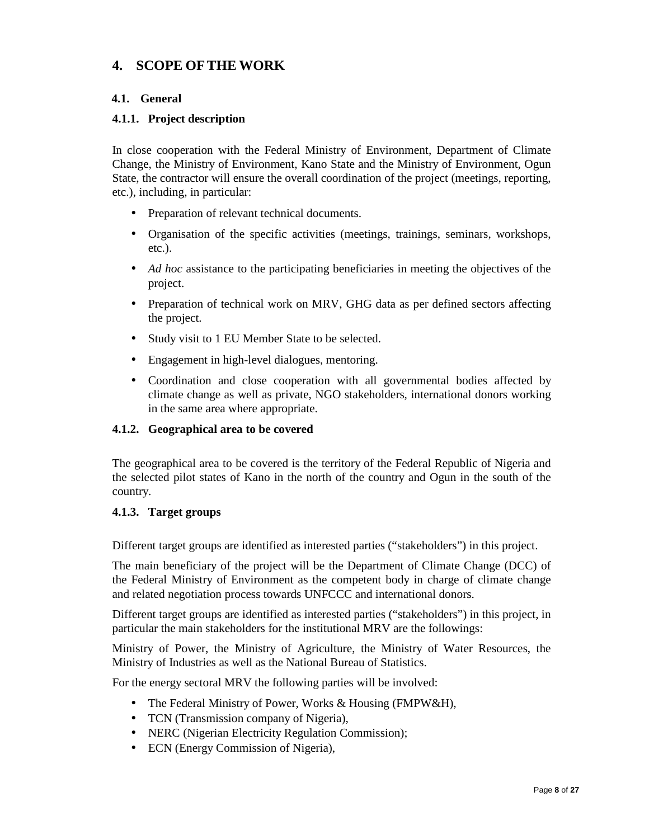# **4. SCOPE OFTHE WORK**

## **4.1. General**

## **4.1.1. Project description**

In close cooperation with the Federal Ministry of Environment, Department of Climate Change, the Ministry of Environment, Kano State and the Ministry of Environment, Ogun State, the contractor will ensure the overall coordination of the project (meetings, reporting, etc.), including, in particular:

- Preparation of relevant technical documents.
- Organisation of the specific activities (meetings, trainings, seminars, workshops, etc.).
- *Ad hoc* assistance to the participating beneficiaries in meeting the objectives of the project.
- Preparation of technical work on MRV, GHG data as per defined sectors affecting the project.
- Study visit to 1 EU Member State to be selected.
- Engagement in high-level dialogues, mentoring.
- Coordination and close cooperation with all governmental bodies affected by climate change as well as private, NGO stakeholders, international donors working in the same area where appropriate.

#### **4.1.2. Geographical area to be covered**

The geographical area to be covered is the territory of the Federal Republic of Nigeria and the selected pilot states of Kano in the north of the country and Ogun in the south of the country.

#### **4.1.3. Target groups**

Different target groups are identified as interested parties ("stakeholders") in this project.

The main beneficiary of the project will be the Department of Climate Change (DCC) of the Federal Ministry of Environment as the competent body in charge of climate change and related negotiation process towards UNFCCC and international donors.

Different target groups are identified as interested parties ("stakeholders") in this project, in particular the main stakeholders for the institutional MRV are the followings:

Ministry of Power, the Ministry of Agriculture, the Ministry of Water Resources, the Ministry of Industries as well as the National Bureau of Statistics.

For the energy sectoral MRV the following parties will be involved:

- The Federal Ministry of Power, Works & Housing (FMPW&H),
- TCN (Transmission company of Nigeria),
- NERC (Nigerian Electricity Regulation Commission);
- ECN (Energy Commission of Nigeria),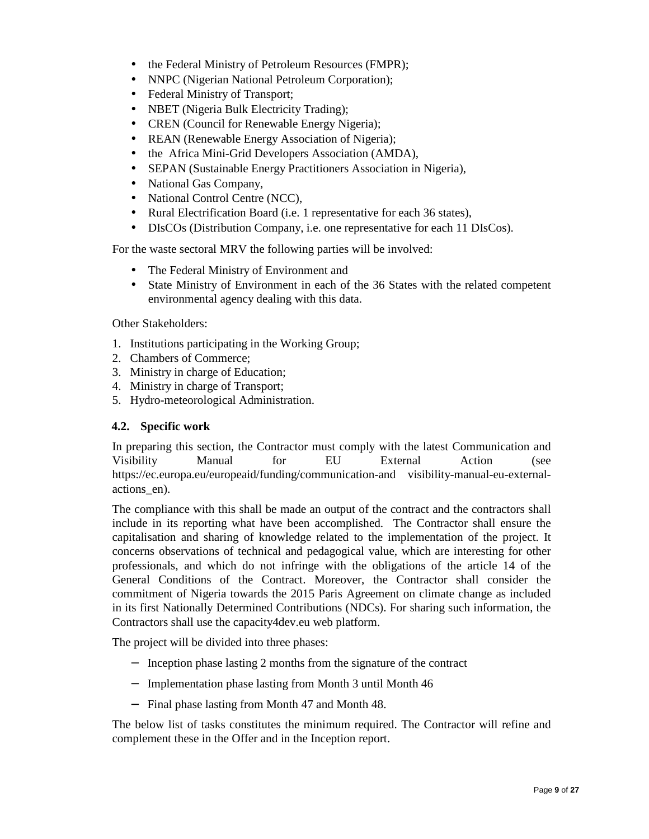- the Federal Ministry of Petroleum Resources (FMPR);
- NNPC (Nigerian National Petroleum Corporation);
- Federal Ministry of Transport;
- NBET (Nigeria Bulk Electricity Trading);
- CREN (Council for Renewable Energy Nigeria);
- REAN (Renewable Energy Association of Nigeria);
- the Africa Mini-Grid Developers Association (AMDA),
- SEPAN (Sustainable Energy Practitioners Association in Nigeria),
- National Gas Company,
- National Control Centre (NCC),
- Rural Electrification Board (i.e. 1 representative for each 36 states),
- DIsCOs (Distribution Company, i.e. one representative for each 11 DIsCos).

For the waste sectoral MRV the following parties will be involved:

- The Federal Ministry of Environment and
- State Ministry of Environment in each of the 36 States with the related competent environmental agency dealing with this data.

Other Stakeholders:

- 1. Institutions participating in the Working Group;
- 2. Chambers of Commerce;
- 3. Ministry in charge of Education;
- 4. Ministry in charge of Transport;
- 5. Hydro-meteorological Administration.

#### **4.2. Specific work**

In preparing this section, the Contractor must comply with the latest Communication and Visibility Manual for EU External Action (see https://ec.europa.eu/europeaid/funding/communication-and visibility-manual-eu-externalactions\_en).

The compliance with this shall be made an output of the contract and the contractors shall include in its reporting what have been accomplished. The Contractor shall ensure the capitalisation and sharing of knowledge related to the implementation of the project. It concerns observations of technical and pedagogical value, which are interesting for other professionals, and which do not infringe with the obligations of the article 14 of the General Conditions of the Contract. Moreover, the Contractor shall consider the commitment of Nigeria towards the 2015 Paris Agreement on climate change as included in its first Nationally Determined Contributions (NDCs). For sharing such information, the Contractors shall use the capacity4dev.eu web platform.

The project will be divided into three phases:

- − Inception phase lasting 2 months from the signature of the contract
- − Implementation phase lasting from Month 3 until Month 46
- − Final phase lasting from Month 47 and Month 48.

The below list of tasks constitutes the minimum required. The Contractor will refine and complement these in the Offer and in the Inception report.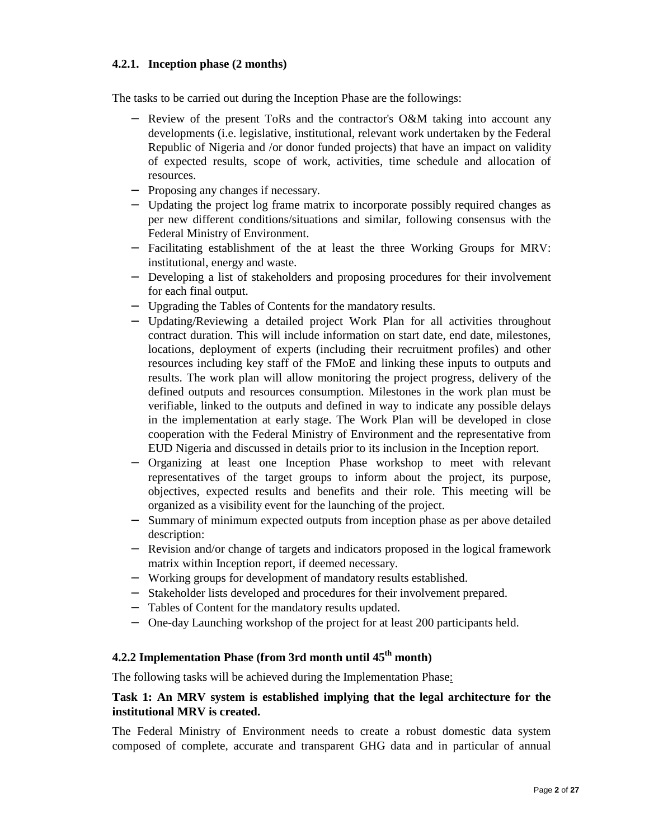## **4.2.1. Inception phase (2 months)**

The tasks to be carried out during the Inception Phase are the followings:

- − Review of the present ToRs and the contractor's O&M taking into account any developments (i.e. legislative, institutional, relevant work undertaken by the Federal Republic of Nigeria and /or donor funded projects) that have an impact on validity of expected results, scope of work, activities, time schedule and allocation of resources.
- − Proposing any changes if necessary.
- − Updating the project log frame matrix to incorporate possibly required changes as per new different conditions/situations and similar, following consensus with the Federal Ministry of Environment.
- − Facilitating establishment of the at least the three Working Groups for MRV: institutional, energy and waste.
- − Developing a list of stakeholders and proposing procedures for their involvement for each final output.
- − Upgrading the Tables of Contents for the mandatory results.
- − Updating/Reviewing a detailed project Work Plan for all activities throughout contract duration. This will include information on start date, end date, milestones, locations, deployment of experts (including their recruitment profiles) and other resources including key staff of the FMoE and linking these inputs to outputs and results. The work plan will allow monitoring the project progress, delivery of the defined outputs and resources consumption. Milestones in the work plan must be verifiable, linked to the outputs and defined in way to indicate any possible delays in the implementation at early stage. The Work Plan will be developed in close cooperation with the Federal Ministry of Environment and the representative from EUD Nigeria and discussed in details prior to its inclusion in the Inception report.
- − Organizing at least one Inception Phase workshop to meet with relevant representatives of the target groups to inform about the project, its purpose, objectives, expected results and benefits and their role. This meeting will be organized as a visibility event for the launching of the project.
- − Summary of minimum expected outputs from inception phase as per above detailed description:
- − Revision and/or change of targets and indicators proposed in the logical framework matrix within Inception report, if deemed necessary.
- − Working groups for development of mandatory results established.
- − Stakeholder lists developed and procedures for their involvement prepared.
- − Tables of Content for the mandatory results updated.
- − One-day Launching workshop of the project for at least 200 participants held.

## **4.2.2 Implementation Phase (from 3rd month until 45th month)**

The following tasks will be achieved during the Implementation Phase:

## **Task 1: An MRV system is established implying that the legal architecture for the institutional MRV is created.**

The Federal Ministry of Environment needs to create a robust domestic data system composed of complete, accurate and transparent GHG data and in particular of annual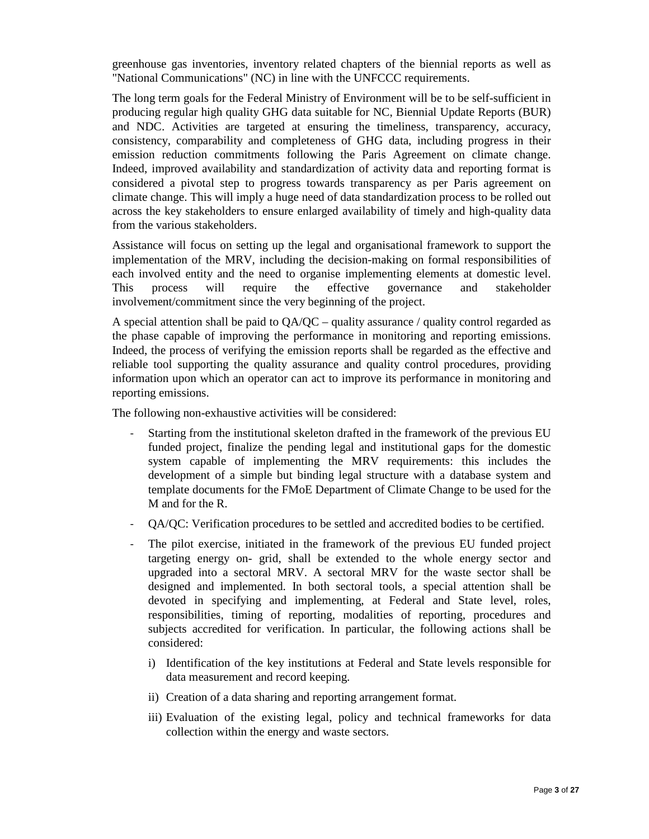greenhouse gas inventories, inventory related chapters of the biennial reports as well as "National Communications" (NC) in line with the UNFCCC requirements.

The long term goals for the Federal Ministry of Environment will be to be self-sufficient in producing regular high quality GHG data suitable for NC, Biennial Update Reports (BUR) and NDC. Activities are targeted at ensuring the timeliness, transparency, accuracy, consistency, comparability and completeness of GHG data, including progress in their emission reduction commitments following the Paris Agreement on climate change. Indeed, improved availability and standardization of activity data and reporting format is considered a pivotal step to progress towards transparency as per Paris agreement on climate change. This will imply a huge need of data standardization process to be rolled out across the key stakeholders to ensure enlarged availability of timely and high-quality data from the various stakeholders.

Assistance will focus on setting up the legal and organisational framework to support the implementation of the MRV, including the decision-making on formal responsibilities of each involved entity and the need to organise implementing elements at domestic level. This process will require the effective governance and stakeholder involvement/commitment since the very beginning of the project.

A special attention shall be paid to QA/QC – quality assurance / quality control regarded as the phase capable of improving the performance in monitoring and reporting emissions. Indeed, the process of verifying the emission reports shall be regarded as the effective and reliable tool supporting the quality assurance and quality control procedures, providing information upon which an operator can act to improve its performance in monitoring and reporting emissions.

The following non-exhaustive activities will be considered:

- Starting from the institutional skeleton drafted in the framework of the previous EU funded project, finalize the pending legal and institutional gaps for the domestic system capable of implementing the MRV requirements: this includes the development of a simple but binding legal structure with a database system and template documents for the FMoE Department of Climate Change to be used for the M and for the R.
- QA/QC: Verification procedures to be settled and accredited bodies to be certified.
- The pilot exercise, initiated in the framework of the previous EU funded project targeting energy on- grid, shall be extended to the whole energy sector and upgraded into a sectoral MRV. A sectoral MRV for the waste sector shall be designed and implemented. In both sectoral tools, a special attention shall be devoted in specifying and implementing, at Federal and State level, roles, responsibilities, timing of reporting, modalities of reporting, procedures and subjects accredited for verification. In particular, the following actions shall be considered:
	- i) Identification of the key institutions at Federal and State levels responsible for data measurement and record keeping.
	- ii) Creation of a data sharing and reporting arrangement format.
	- iii) Evaluation of the existing legal, policy and technical frameworks for data collection within the energy and waste sectors.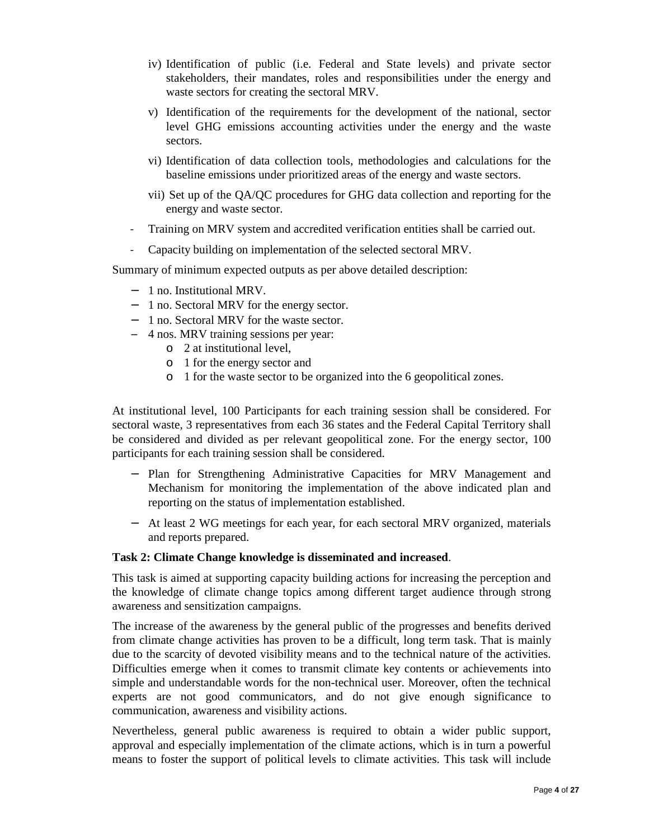- iv) Identification of public (i.e. Federal and State levels) and private sector stakeholders, their mandates, roles and responsibilities under the energy and waste sectors for creating the sectoral MRV.
- v) Identification of the requirements for the development of the national, sector level GHG emissions accounting activities under the energy and the waste sectors.
- vi) Identification of data collection tools, methodologies and calculations for the baseline emissions under prioritized areas of the energy and waste sectors.
- vii) Set up of the QA/QC procedures for GHG data collection and reporting for the energy and waste sector.
- Training on MRV system and accredited verification entities shall be carried out.
- Capacity building on implementation of the selected sectoral MRV.

Summary of minimum expected outputs as per above detailed description:

- − 1 no. Institutional MRV.
- − 1 no. Sectoral MRV for the energy sector.
- − 1 no. Sectoral MRV for the waste sector.
- − 4 nos. MRV training sessions per year:
	- o 2 at institutional level,
	- o 1 for the energy sector and
	- o 1 for the waste sector to be organized into the 6 geopolitical zones.

At institutional level, 100 Participants for each training session shall be considered. For sectoral waste, 3 representatives from each 36 states and the Federal Capital Territory shall be considered and divided as per relevant geopolitical zone. For the energy sector, 100 participants for each training session shall be considered.

- − Plan for Strengthening Administrative Capacities for MRV Management and Mechanism for monitoring the implementation of the above indicated plan and reporting on the status of implementation established.
- − At least 2 WG meetings for each year, for each sectoral MRV organized, materials and reports prepared.

#### **Task 2: Climate Change knowledge is disseminated and increased**.

This task is aimed at supporting capacity building actions for increasing the perception and the knowledge of climate change topics among different target audience through strong awareness and sensitization campaigns.

The increase of the awareness by the general public of the progresses and benefits derived from climate change activities has proven to be a difficult, long term task. That is mainly due to the scarcity of devoted visibility means and to the technical nature of the activities. Difficulties emerge when it comes to transmit climate key contents or achievements into simple and understandable words for the non-technical user. Moreover, often the technical experts are not good communicators, and do not give enough significance to communication, awareness and visibility actions.

Nevertheless, general public awareness is required to obtain a wider public support, approval and especially implementation of the climate actions, which is in turn a powerful means to foster the support of political levels to climate activities. This task will include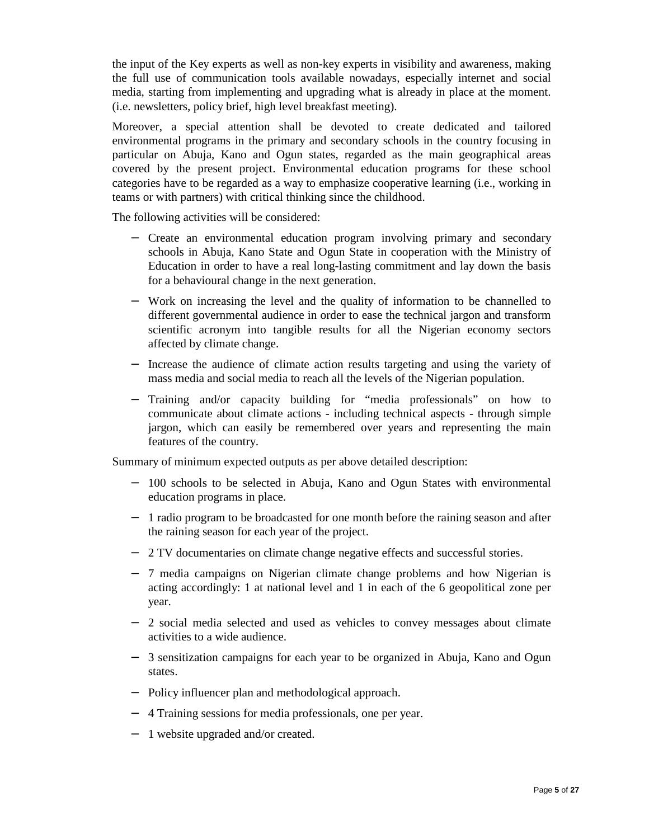the input of the Key experts as well as non-key experts in visibility and awareness, making the full use of communication tools available nowadays, especially internet and social media, starting from implementing and upgrading what is already in place at the moment. (i.e. newsletters, policy brief, high level breakfast meeting).

Moreover, a special attention shall be devoted to create dedicated and tailored environmental programs in the primary and secondary schools in the country focusing in particular on Abuja, Kano and Ogun states, regarded as the main geographical areas covered by the present project. Environmental education programs for these school categories have to be regarded as a way to emphasize cooperative learning (i.e., working in teams or with partners) with critical thinking since the childhood.

The following activities will be considered:

- − Create an environmental education program involving primary and secondary schools in Abuja, Kano State and Ogun State in cooperation with the Ministry of Education in order to have a real long-lasting commitment and lay down the basis for a behavioural change in the next generation.
- − Work on increasing the level and the quality of information to be channelled to different governmental audience in order to ease the technical jargon and transform scientific acronym into tangible results for all the Nigerian economy sectors affected by climate change.
- − Increase the audience of climate action results targeting and using the variety of mass media and social media to reach all the levels of the Nigerian population.
- − Training and/or capacity building for "media professionals" on how to communicate about climate actions - including technical aspects - through simple jargon, which can easily be remembered over years and representing the main features of the country.

Summary of minimum expected outputs as per above detailed description:

- − 100 schools to be selected in Abuja, Kano and Ogun States with environmental education programs in place.
- − 1 radio program to be broadcasted for one month before the raining season and after the raining season for each year of the project.
- − 2 TV documentaries on climate change negative effects and successful stories.
- − 7 media campaigns on Nigerian climate change problems and how Nigerian is acting accordingly: 1 at national level and 1 in each of the 6 geopolitical zone per year.
- − 2 social media selected and used as vehicles to convey messages about climate activities to a wide audience.
- − 3 sensitization campaigns for each year to be organized in Abuja, Kano and Ogun states.
- − Policy influencer plan and methodological approach.
- − 4 Training sessions for media professionals, one per year.
- − 1 website upgraded and/or created.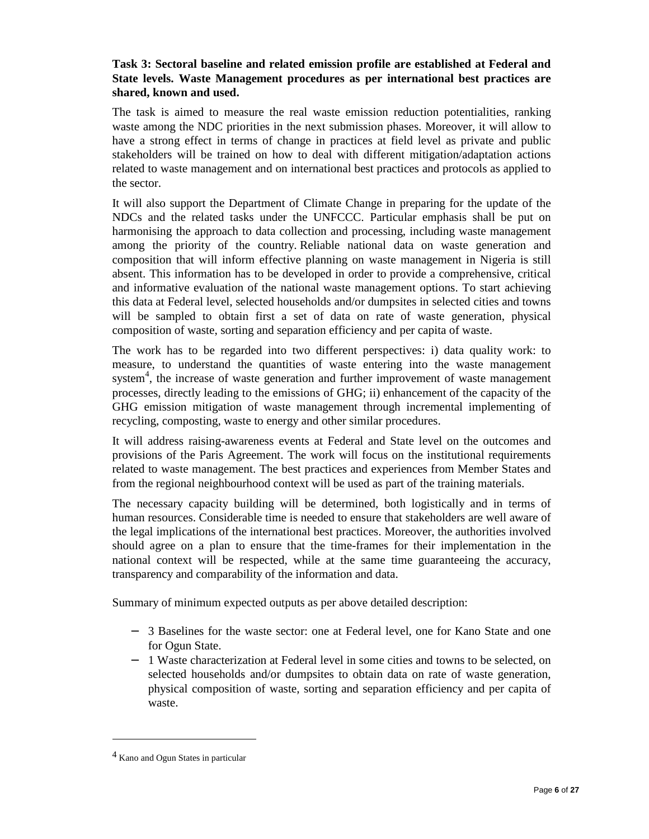## **Task 3: Sectoral baseline and related emission profile are established at Federal and State levels. Waste Management procedures as per international best practices are shared, known and used.**

The task is aimed to measure the real waste emission reduction potentialities, ranking waste among the NDC priorities in the next submission phases. Moreover, it will allow to have a strong effect in terms of change in practices at field level as private and public stakeholders will be trained on how to deal with different mitigation/adaptation actions related to waste management and on international best practices and protocols as applied to the sector.

It will also support the Department of Climate Change in preparing for the update of the NDCs and the related tasks under the UNFCCC. Particular emphasis shall be put on harmonising the approach to data collection and processing, including waste management among the priority of the country. Reliable national data on waste generation and composition that will inform effective planning on waste management in Nigeria is still absent. This information has to be developed in order to provide a comprehensive, critical and informative evaluation of the national waste management options. To start achieving this data at Federal level, selected households and/or dumpsites in selected cities and towns will be sampled to obtain first a set of data on rate of waste generation, physical composition of waste, sorting and separation efficiency and per capita of waste.

The work has to be regarded into two different perspectives: i) data quality work: to measure, to understand the quantities of waste entering into the waste management system<sup>4</sup>, the increase of waste generation and further improvement of waste management processes, directly leading to the emissions of GHG; ii) enhancement of the capacity of the GHG emission mitigation of waste management through incremental implementing of recycling, composting, waste to energy and other similar procedures.

It will address raising-awareness events at Federal and State level on the outcomes and provisions of the Paris Agreement. The work will focus on the institutional requirements related to waste management. The best practices and experiences from Member States and from the regional neighbourhood context will be used as part of the training materials.

The necessary capacity building will be determined, both logistically and in terms of human resources. Considerable time is needed to ensure that stakeholders are well aware of the legal implications of the international best practices. Moreover, the authorities involved should agree on a plan to ensure that the time-frames for their implementation in the national context will be respected, while at the same time guaranteeing the accuracy, transparency and comparability of the information and data.

Summary of minimum expected outputs as per above detailed description:

- − 3 Baselines for the waste sector: one at Federal level, one for Kano State and one for Ogun State.
- − 1 Waste characterization at Federal level in some cities and towns to be selected, on selected households and/or dumpsites to obtain data on rate of waste generation, physical composition of waste, sorting and separation efficiency and per capita of waste.

 $\overline{a}$ 

<sup>4</sup> Kano and Ogun States in particular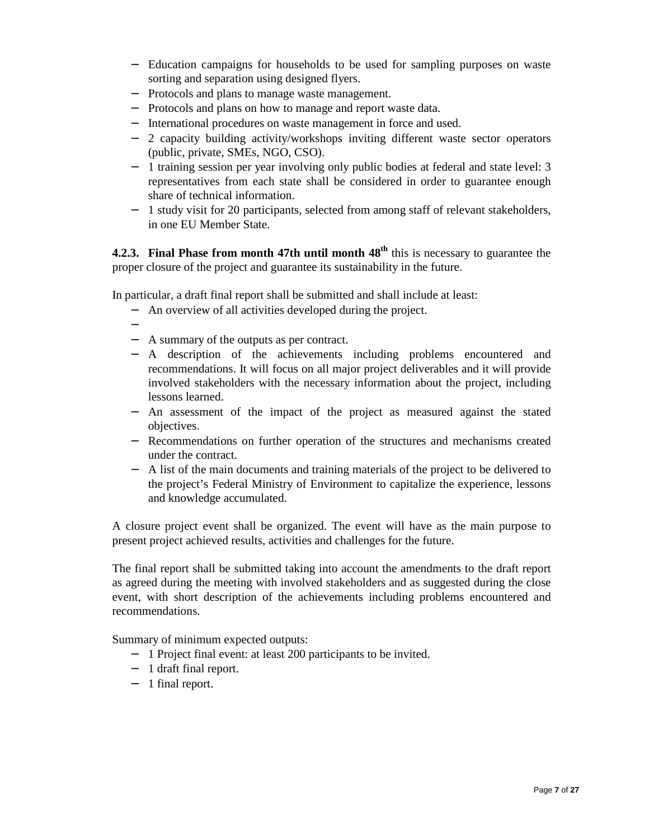- − Education campaigns for households to be used for sampling purposes on waste sorting and separation using designed flyers.
- − Protocols and plans to manage waste management.
- − Protocols and plans on how to manage and report waste data.
- − International procedures on waste management in force and used.
- − 2 capacity building activity/workshops inviting different waste sector operators (public, private, SMEs, NGO, CSO).
- − 1 training session per year involving only public bodies at federal and state level: 3 representatives from each state shall be considered in order to guarantee enough share of technical information.
- − 1 study visit for 20 participants, selected from among staff of relevant stakeholders, in one EU Member State.

**4.2.3. Final Phase from month 47th until month 48th** this is necessary to guarantee the proper closure of the project and guarantee its sustainability in the future.

In particular, a draft final report shall be submitted and shall include at least:

- − An overview of all activities developed during the project.
- −
	- − A summary of the outputs as per contract.
	- − A description of the achievements including problems encountered and recommendations. It will focus on all major project deliverables and it will provide involved stakeholders with the necessary information about the project, including lessons learned.
	- − An assessment of the impact of the project as measured against the stated objectives.
	- − Recommendations on further operation of the structures and mechanisms created under the contract.
	- − A list of the main documents and training materials of the project to be delivered to the project's Federal Ministry of Environment to capitalize the experience, lessons and knowledge accumulated.

A closure project event shall be organized. The event will have as the main purpose to present project achieved results, activities and challenges for the future.

The final report shall be submitted taking into account the amendments to the draft report as agreed during the meeting with involved stakeholders and as suggested during the close event, with short description of the achievements including problems encountered and recommendations.

Summary of minimum expected outputs:

- − 1 Project final event: at least 200 participants to be invited.
- − 1 draft final report.
- − 1 final report.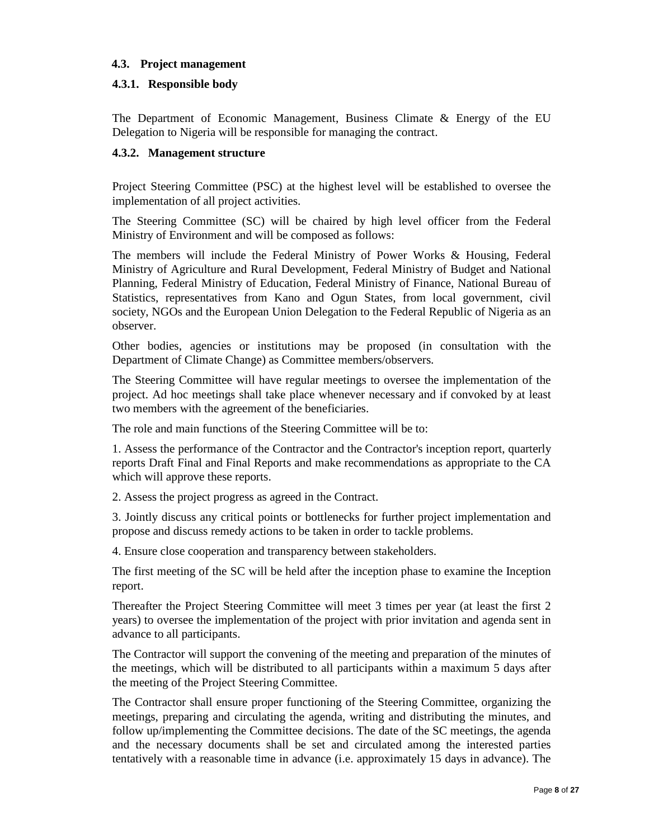## **4.3. Project management**

## **4.3.1. Responsible body**

The Department of Economic Management, Business Climate & Energy of the EU Delegation to Nigeria will be responsible for managing the contract.

#### **4.3.2. Management structure**

Project Steering Committee (PSC) at the highest level will be established to oversee the implementation of all project activities.

The Steering Committee (SC) will be chaired by high level officer from the Federal Ministry of Environment and will be composed as follows:

The members will include the Federal Ministry of Power Works & Housing, Federal Ministry of Agriculture and Rural Development, Federal Ministry of Budget and National Planning, Federal Ministry of Education, Federal Ministry of Finance, National Bureau of Statistics, representatives from Kano and Ogun States, from local government, civil society, NGOs and the European Union Delegation to the Federal Republic of Nigeria as an observer.

Other bodies, agencies or institutions may be proposed (in consultation with the Department of Climate Change) as Committee members/observers.

The Steering Committee will have regular meetings to oversee the implementation of the project. Ad hoc meetings shall take place whenever necessary and if convoked by at least two members with the agreement of the beneficiaries.

The role and main functions of the Steering Committee will be to:

1. Assess the performance of the Contractor and the Contractor's inception report, quarterly reports Draft Final and Final Reports and make recommendations as appropriate to the CA which will approve these reports.

2. Assess the project progress as agreed in the Contract.

3. Jointly discuss any critical points or bottlenecks for further project implementation and propose and discuss remedy actions to be taken in order to tackle problems.

4. Ensure close cooperation and transparency between stakeholders.

The first meeting of the SC will be held after the inception phase to examine the Inception report.

Thereafter the Project Steering Committee will meet 3 times per year (at least the first 2 years) to oversee the implementation of the project with prior invitation and agenda sent in advance to all participants.

The Contractor will support the convening of the meeting and preparation of the minutes of the meetings, which will be distributed to all participants within a maximum 5 days after the meeting of the Project Steering Committee.

The Contractor shall ensure proper functioning of the Steering Committee, organizing the meetings, preparing and circulating the agenda, writing and distributing the minutes, and follow up/implementing the Committee decisions. The date of the SC meetings, the agenda and the necessary documents shall be set and circulated among the interested parties tentatively with a reasonable time in advance (i.e. approximately 15 days in advance). The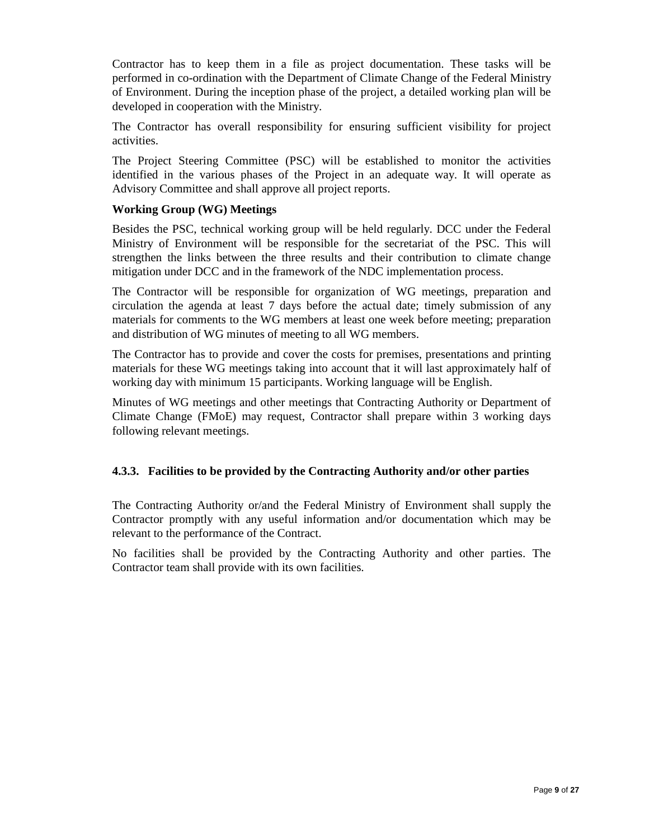Contractor has to keep them in a file as project documentation. These tasks will be performed in co-ordination with the Department of Climate Change of the Federal Ministry of Environment. During the inception phase of the project, a detailed working plan will be developed in cooperation with the Ministry.

The Contractor has overall responsibility for ensuring sufficient visibility for project activities.

The Project Steering Committee (PSC) will be established to monitor the activities identified in the various phases of the Project in an adequate way. It will operate as Advisory Committee and shall approve all project reports.

## **Working Group (WG) Meetings**

Besides the PSC, technical working group will be held regularly. DCC under the Federal Ministry of Environment will be responsible for the secretariat of the PSC. This will strengthen the links between the three results and their contribution to climate change mitigation under DCC and in the framework of the NDC implementation process.

The Contractor will be responsible for organization of WG meetings, preparation and circulation the agenda at least 7 days before the actual date; timely submission of any materials for comments to the WG members at least one week before meeting; preparation and distribution of WG minutes of meeting to all WG members.

The Contractor has to provide and cover the costs for premises, presentations and printing materials for these WG meetings taking into account that it will last approximately half of working day with minimum 15 participants. Working language will be English.

Minutes of WG meetings and other meetings that Contracting Authority or Department of Climate Change (FMoE) may request, Contractor shall prepare within 3 working days following relevant meetings.

#### **4.3.3. Facilities to be provided by the Contracting Authority and/or other parties**

The Contracting Authority or/and the Federal Ministry of Environment shall supply the Contractor promptly with any useful information and/or documentation which may be relevant to the performance of the Contract.

No facilities shall be provided by the Contracting Authority and other parties. The Contractor team shall provide with its own facilities.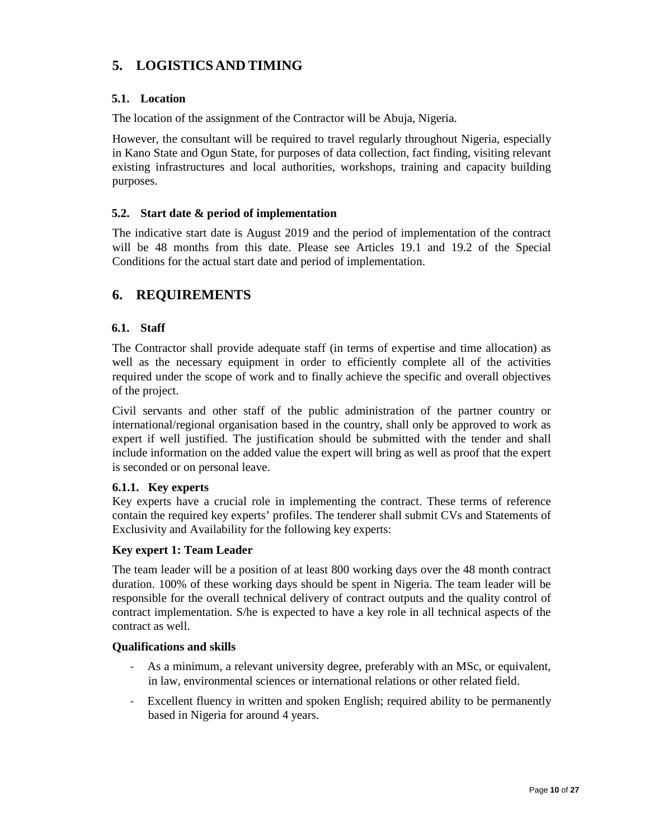# **5. LOGISTICS AND TIMING**

## **5.1. Location**

The location of the assignment of the Contractor will be Abuja, Nigeria.

However, the consultant will be required to travel regularly throughout Nigeria, especially in Kano State and Ogun State, for purposes of data collection, fact finding, visiting relevant existing infrastructures and local authorities, workshops, training and capacity building purposes.

## **5.2. Start date & period of implementation**

The indicative start date is August 2019 and the period of implementation of the contract will be 48 months from this date. Please see Articles 19.1 and 19.2 of the Special Conditions for the actual start date and period of implementation.

## **6. REQUIREMENTS**

## **6.1. Staff**

The Contractor shall provide adequate staff (in terms of expertise and time allocation) as well as the necessary equipment in order to efficiently complete all of the activities required under the scope of work and to finally achieve the specific and overall objectives of the project.

Civil servants and other staff of the public administration of the partner country or international/regional organisation based in the country, shall only be approved to work as expert if well justified. The justification should be submitted with the tender and shall include information on the added value the expert will bring as well as proof that the expert is seconded or on personal leave.

#### **6.1.1. Key experts**

Key experts have a crucial role in implementing the contract. These terms of reference contain the required key experts' profiles. The tenderer shall submit CVs and Statements of Exclusivity and Availability for the following key experts:

#### **Key expert 1: Team Leader**

The team leader will be a position of at least 800 working days over the 48 month contract duration. 100% of these working days should be spent in Nigeria. The team leader will be responsible for the overall technical delivery of contract outputs and the quality control of contract implementation. S/he is expected to have a key role in all technical aspects of the contract as well.

#### **Qualifications and skills**

- As a minimum, a relevant university degree, preferably with an MSc, or equivalent, in law, environmental sciences or international relations or other related field.
- Excellent fluency in written and spoken English; required ability to be permanently based in Nigeria for around 4 years.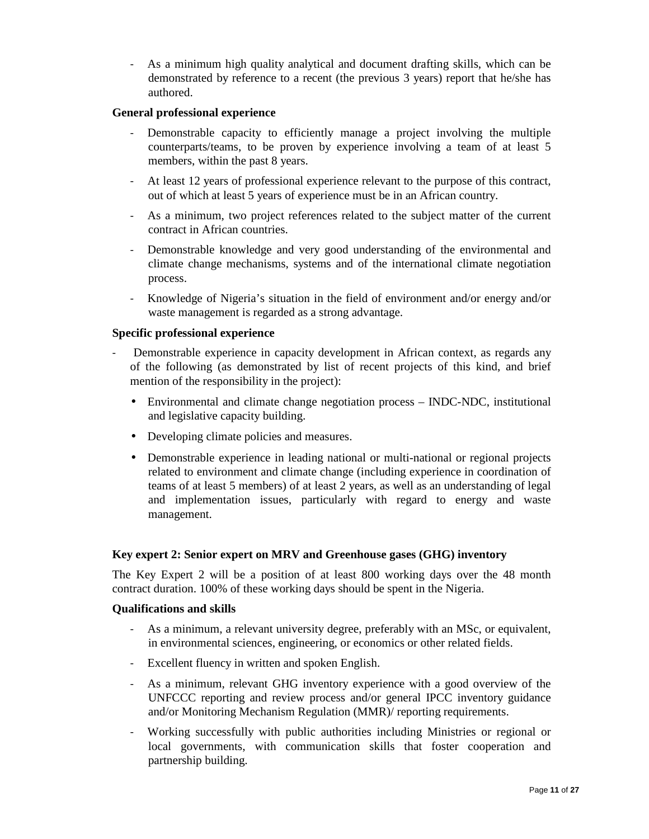As a minimum high quality analytical and document drafting skills, which can be demonstrated by reference to a recent (the previous 3 years) report that he/she has authored.

#### **General professional experience**

- Demonstrable capacity to efficiently manage a project involving the multiple counterparts/teams, to be proven by experience involving a team of at least 5 members, within the past 8 years.
- At least 12 years of professional experience relevant to the purpose of this contract, out of which at least 5 years of experience must be in an African country.
- As a minimum, two project references related to the subject matter of the current contract in African countries.
- Demonstrable knowledge and very good understanding of the environmental and climate change mechanisms, systems and of the international climate negotiation process.
- Knowledge of Nigeria's situation in the field of environment and/or energy and/or waste management is regarded as a strong advantage.

#### **Specific professional experience**

- Demonstrable experience in capacity development in African context, as regards any of the following (as demonstrated by list of recent projects of this kind, and brief mention of the responsibility in the project):
	- Environmental and climate change negotiation process INDC-NDC, institutional and legislative capacity building.
	- Developing climate policies and measures.
	- Demonstrable experience in leading national or multi-national or regional projects related to environment and climate change (including experience in coordination of teams of at least 5 members) of at least 2 years, as well as an understanding of legal and implementation issues, particularly with regard to energy and waste management.

#### **Key expert 2: Senior expert on MRV and Greenhouse gases (GHG) inventory**

The Key Expert 2 will be a position of at least 800 working days over the 48 month contract duration. 100% of these working days should be spent in the Nigeria.

#### **Qualifications and skills**

- As a minimum, a relevant university degree, preferably with an MSc, or equivalent, in environmental sciences, engineering, or economics or other related fields.
- Excellent fluency in written and spoken English.
- As a minimum, relevant GHG inventory experience with a good overview of the UNFCCC reporting and review process and/or general IPCC inventory guidance and/or Monitoring Mechanism Regulation (MMR)/ reporting requirements.
- Working successfully with public authorities including Ministries or regional or local governments, with communication skills that foster cooperation and partnership building.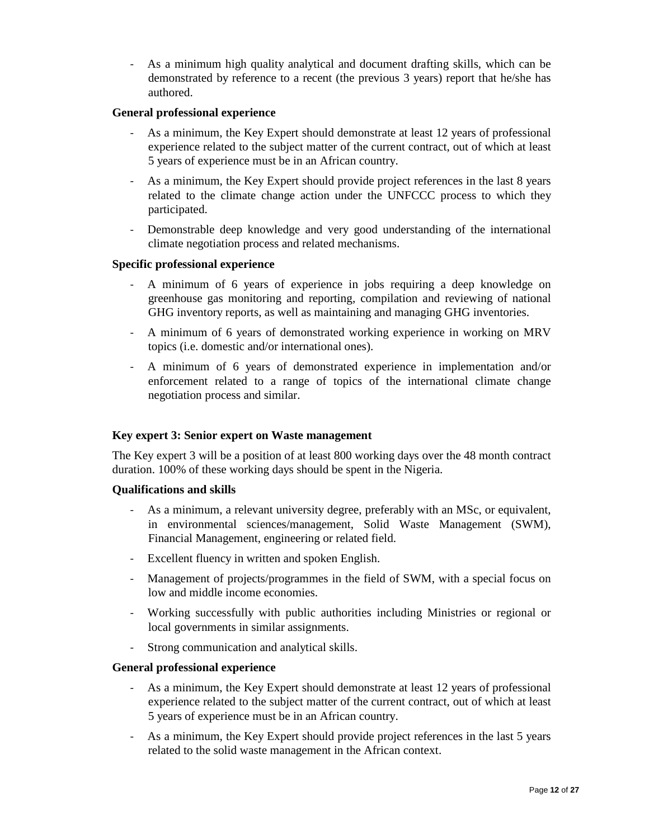As a minimum high quality analytical and document drafting skills, which can be demonstrated by reference to a recent (the previous 3 years) report that he/she has authored.

#### **General professional experience**

- As a minimum, the Key Expert should demonstrate at least 12 years of professional experience related to the subject matter of the current contract, out of which at least 5 years of experience must be in an African country.
- As a minimum, the Key Expert should provide project references in the last 8 years related to the climate change action under the UNFCCC process to which they participated.
- Demonstrable deep knowledge and very good understanding of the international climate negotiation process and related mechanisms.

#### **Specific professional experience**

- A minimum of 6 years of experience in jobs requiring a deep knowledge on greenhouse gas monitoring and reporting, compilation and reviewing of national GHG inventory reports, as well as maintaining and managing GHG inventories.
- A minimum of 6 years of demonstrated working experience in working on MRV topics (i.e. domestic and/or international ones).
- A minimum of 6 years of demonstrated experience in implementation and/or enforcement related to a range of topics of the international climate change negotiation process and similar.

#### **Key expert 3: Senior expert on Waste management**

The Key expert 3 will be a position of at least 800 working days over the 48 month contract duration. 100% of these working days should be spent in the Nigeria.

#### **Qualifications and skills**

- As a minimum, a relevant university degree, preferably with an MSc, or equivalent, in environmental sciences/management, Solid Waste Management (SWM), Financial Management, engineering or related field.
- Excellent fluency in written and spoken English.
- Management of projects/programmes in the field of SWM, with a special focus on low and middle income economies.
- Working successfully with public authorities including Ministries or regional or local governments in similar assignments.
- Strong communication and analytical skills.

#### **General professional experience**

- As a minimum, the Key Expert should demonstrate at least 12 years of professional experience related to the subject matter of the current contract, out of which at least 5 years of experience must be in an African country.
- As a minimum, the Key Expert should provide project references in the last 5 years related to the solid waste management in the African context.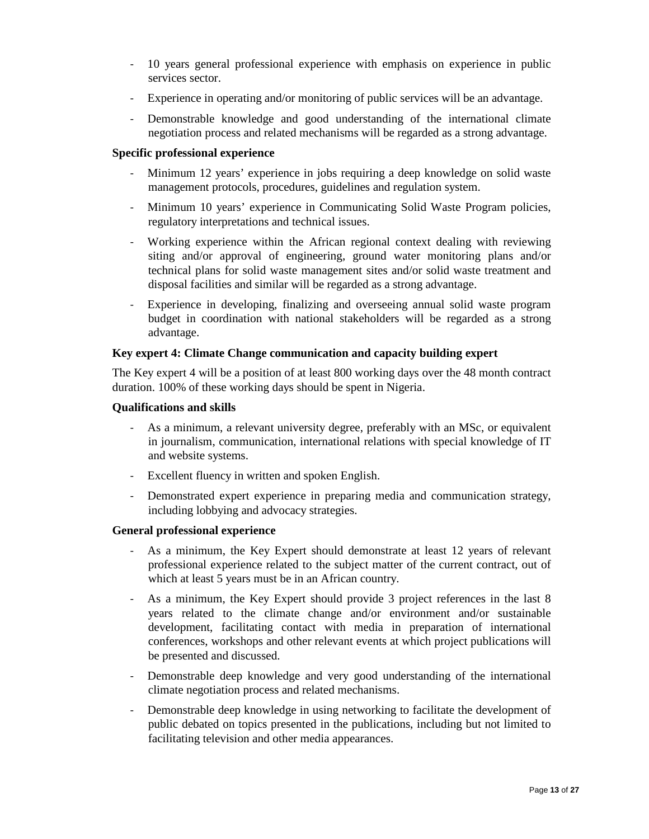- 10 years general professional experience with emphasis on experience in public services sector.
- Experience in operating and/or monitoring of public services will be an advantage.
- Demonstrable knowledge and good understanding of the international climate negotiation process and related mechanisms will be regarded as a strong advantage.

#### **Specific professional experience**

- Minimum 12 years' experience in jobs requiring a deep knowledge on solid waste management protocols, procedures, guidelines and regulation system.
- Minimum 10 years' experience in Communicating Solid Waste Program policies, regulatory interpretations and technical issues.
- Working experience within the African regional context dealing with reviewing siting and/or approval of engineering, ground water monitoring plans and/or technical plans for solid waste management sites and/or solid waste treatment and disposal facilities and similar will be regarded as a strong advantage.
- Experience in developing, finalizing and overseeing annual solid waste program budget in coordination with national stakeholders will be regarded as a strong advantage.

#### **Key expert 4: Climate Change communication and capacity building expert**

The Key expert 4 will be a position of at least 800 working days over the 48 month contract duration. 100% of these working days should be spent in Nigeria.

#### **Qualifications and skills**

- As a minimum, a relevant university degree, preferably with an MSc, or equivalent in journalism, communication, international relations with special knowledge of IT and website systems.
- Excellent fluency in written and spoken English.
- Demonstrated expert experience in preparing media and communication strategy, including lobbying and advocacy strategies.

#### **General professional experience**

- As a minimum, the Key Expert should demonstrate at least 12 years of relevant professional experience related to the subject matter of the current contract, out of which at least 5 years must be in an African country.
- As a minimum, the Key Expert should provide 3 project references in the last 8 years related to the climate change and/or environment and/or sustainable development, facilitating contact with media in preparation of international conferences, workshops and other relevant events at which project publications will be presented and discussed.
- Demonstrable deep knowledge and very good understanding of the international climate negotiation process and related mechanisms.
- Demonstrable deep knowledge in using networking to facilitate the development of public debated on topics presented in the publications, including but not limited to facilitating television and other media appearances.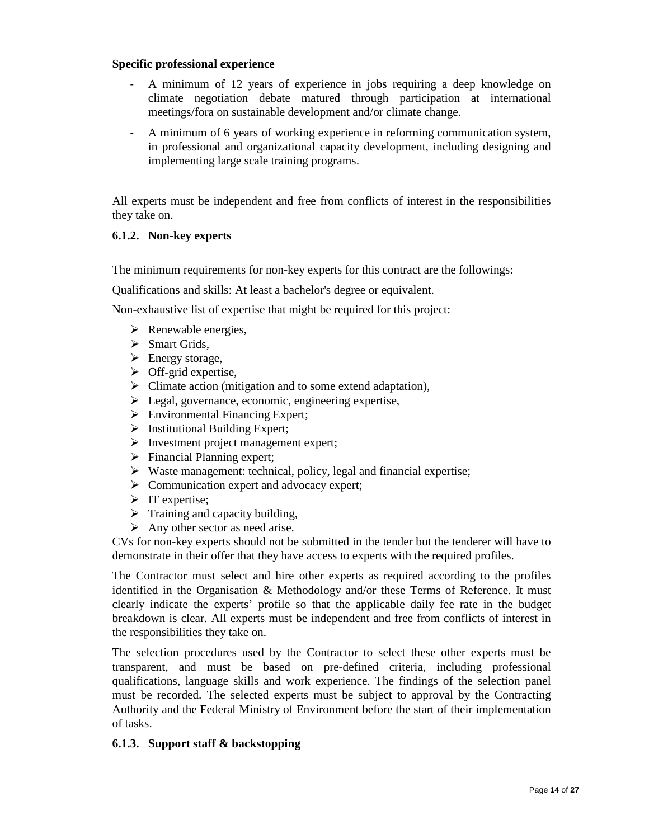#### **Specific professional experience**

- A minimum of 12 years of experience in jobs requiring a deep knowledge on climate negotiation debate matured through participation at international meetings/fora on sustainable development and/or climate change.
- A minimum of 6 years of working experience in reforming communication system, in professional and organizational capacity development, including designing and implementing large scale training programs.

All experts must be independent and free from conflicts of interest in the responsibilities they take on.

#### **6.1.2. Non-key experts**

The minimum requirements for non-key experts for this contract are the followings:

Qualifications and skills: At least a bachelor's degree or equivalent.

Non-exhaustive list of expertise that might be required for this project:

- $\triangleright$  Renewable energies,
- $\triangleright$  Smart Grids,
- $\triangleright$  Energy storage,
- $\triangleright$  Off-grid expertise,
- $\triangleright$  Climate action (mitigation and to some extend adaptation),
- Legal, governance, economic, engineering expertise,
- $\triangleright$  Environmental Financing Expert;
- $\triangleright$  Institutional Building Expert;
- $\triangleright$  Investment project management expert;
- $\triangleright$  Financial Planning expert;
- $\triangleright$  Waste management: technical, policy, legal and financial expertise;
- $\triangleright$  Communication expert and advocacy expert;
- $\triangleright$  IT expertise;
- $\triangleright$  Training and capacity building,
- $\triangleright$  Any other sector as need arise.

CVs for non-key experts should not be submitted in the tender but the tenderer will have to demonstrate in their offer that they have access to experts with the required profiles.

The Contractor must select and hire other experts as required according to the profiles identified in the Organisation & Methodology and/or these Terms of Reference. It must clearly indicate the experts' profile so that the applicable daily fee rate in the budget breakdown is clear. All experts must be independent and free from conflicts of interest in the responsibilities they take on.

The selection procedures used by the Contractor to select these other experts must be transparent, and must be based on pre-defined criteria, including professional qualifications, language skills and work experience. The findings of the selection panel must be recorded. The selected experts must be subject to approval by the Contracting Authority and the Federal Ministry of Environment before the start of their implementation of tasks.

#### **6.1.3. Support staff & backstopping**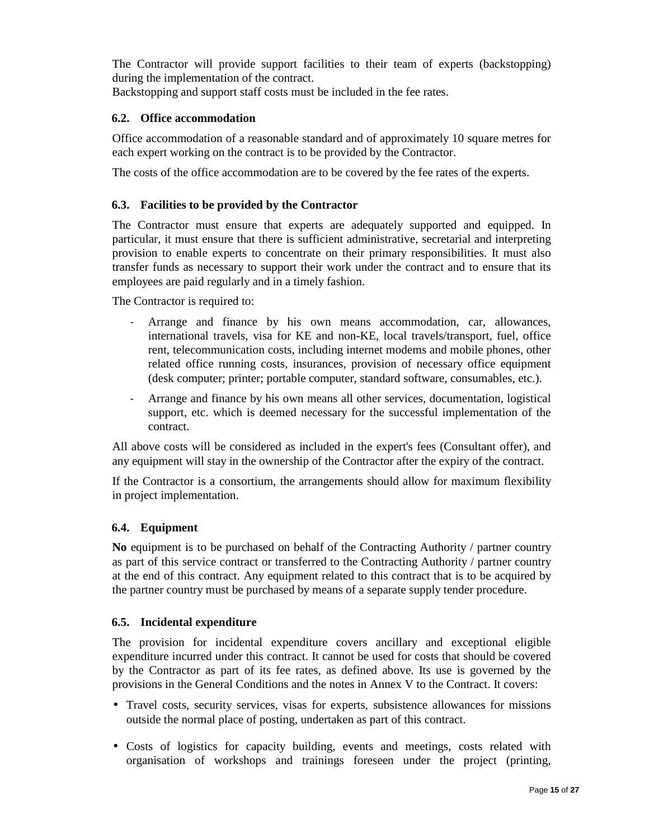The Contractor will provide support facilities to their team of experts (backstopping) during the implementation of the contract.

Backstopping and support staff costs must be included in the fee rates.

## **6.2. Office accommodation**

Office accommodation of a reasonable standard and of approximately 10 square metres for each expert working on the contract is to be provided by the Contractor.

The costs of the office accommodation are to be covered by the fee rates of the experts.

## **6.3. Facilities to be provided by the Contractor**

The Contractor must ensure that experts are adequately supported and equipped. In particular, it must ensure that there is sufficient administrative, secretarial and interpreting provision to enable experts to concentrate on their primary responsibilities. It must also transfer funds as necessary to support their work under the contract and to ensure that its employees are paid regularly and in a timely fashion.

The Contractor is required to:

- Arrange and finance by his own means accommodation, car, allowances, international travels, visa for KE and non-KE, local travels/transport, fuel, office rent, telecommunication costs, including internet modems and mobile phones, other related office running costs, insurances, provision of necessary office equipment (desk computer; printer; portable computer, standard software, consumables, etc.).
- Arrange and finance by his own means all other services, documentation, logistical support, etc. which is deemed necessary for the successful implementation of the contract.

All above costs will be considered as included in the expert's fees (Consultant offer), and any equipment will stay in the ownership of the Contractor after the expiry of the contract.

If the Contractor is a consortium, the arrangements should allow for maximum flexibility in project implementation.

#### **6.4. Equipment**

**No** equipment is to be purchased on behalf of the Contracting Authority / partner country as part of this service contract or transferred to the Contracting Authority / partner country at the end of this contract. Any equipment related to this contract that is to be acquired by the partner country must be purchased by means of a separate supply tender procedure.

#### **6.5. Incidental expenditure**

The provision for incidental expenditure covers ancillary and exceptional eligible expenditure incurred under this contract. It cannot be used for costs that should be covered by the Contractor as part of its fee rates, as defined above. Its use is governed by the provisions in the General Conditions and the notes in Annex V to the Contract. It covers:

- Travel costs, security services, visas for experts, subsistence allowances for missions outside the normal place of posting, undertaken as part of this contract.
- Costs of logistics for capacity building, events and meetings, costs related with organisation of workshops and trainings foreseen under the project (printing,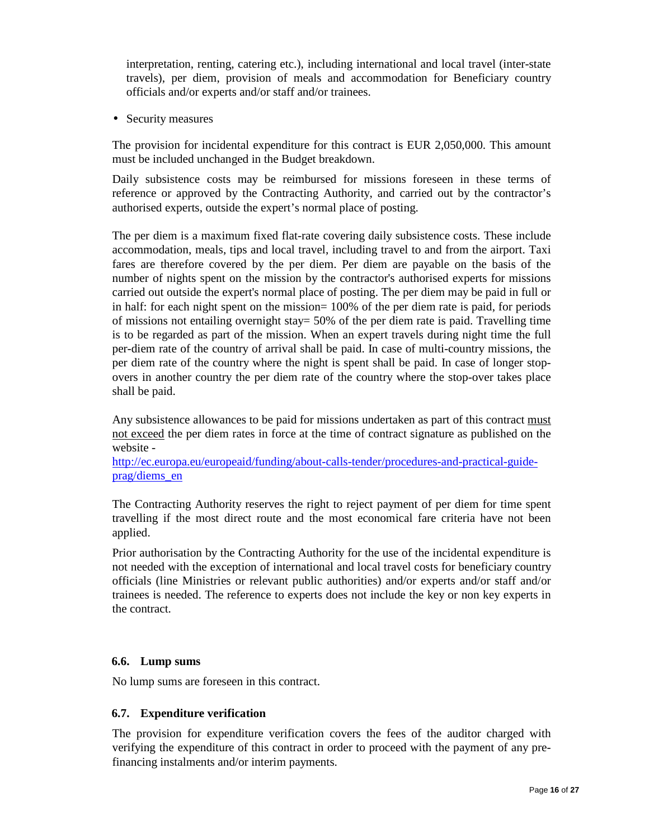interpretation, renting, catering etc.), including international and local travel (inter-state travels), per diem, provision of meals and accommodation for Beneficiary country officials and/or experts and/or staff and/or trainees.

• Security measures

The provision for incidental expenditure for this contract is EUR 2,050,000. This amount must be included unchanged in the Budget breakdown.

Daily subsistence costs may be reimbursed for missions foreseen in these terms of reference or approved by the Contracting Authority, and carried out by the contractor's authorised experts, outside the expert's normal place of posting.

The per diem is a maximum fixed flat-rate covering daily subsistence costs. These include accommodation, meals, tips and local travel, including travel to and from the airport. Taxi fares are therefore covered by the per diem. Per diem are payable on the basis of the number of nights spent on the mission by the contractor's authorised experts for missions carried out outside the expert's normal place of posting. The per diem may be paid in full or in half: for each night spent on the mission= 100% of the per diem rate is paid, for periods of missions not entailing overnight stay= 50% of the per diem rate is paid. Travelling time is to be regarded as part of the mission. When an expert travels during night time the full per-diem rate of the country of arrival shall be paid. In case of multi-country missions, the per diem rate of the country where the night is spent shall be paid. In case of longer stopovers in another country the per diem rate of the country where the stop-over takes place shall be paid.

Any subsistence allowances to be paid for missions undertaken as part of this contract must not exceed the per diem rates in force at the time of contract signature as published on the website -

http://ec.europa.eu/europeaid/funding/about-calls-tender/procedures-and-practical-guideprag/diems\_en

The Contracting Authority reserves the right to reject payment of per diem for time spent travelling if the most direct route and the most economical fare criteria have not been applied.

Prior authorisation by the Contracting Authority for the use of the incidental expenditure is not needed with the exception of international and local travel costs for beneficiary country officials (line Ministries or relevant public authorities) and/or experts and/or staff and/or trainees is needed. The reference to experts does not include the key or non key experts in the contract.

## **6.6. Lump sums**

No lump sums are foreseen in this contract.

#### **6.7. Expenditure verification**

The provision for expenditure verification covers the fees of the auditor charged with verifying the expenditure of this contract in order to proceed with the payment of any prefinancing instalments and/or interim payments.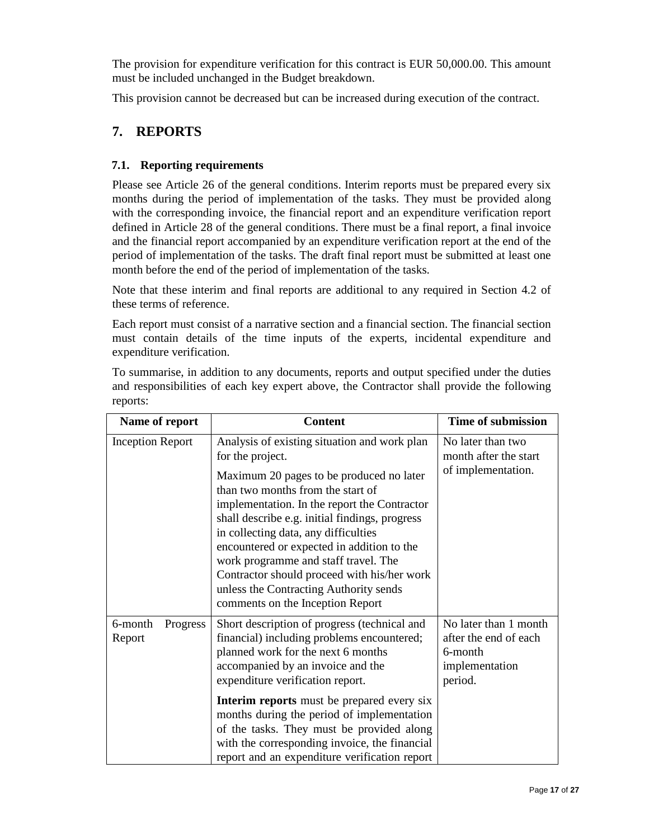The provision for expenditure verification for this contract is EUR 50,000.00. This amount must be included unchanged in the Budget breakdown.

This provision cannot be decreased but can be increased during execution of the contract.

## **7. REPORTS**

## **7.1. Reporting requirements**

Please see Article 26 of the general conditions. Interim reports must be prepared every six months during the period of implementation of the tasks. They must be provided along with the corresponding invoice, the financial report and an expenditure verification report defined in Article 28 of the general conditions. There must be a final report, a final invoice and the financial report accompanied by an expenditure verification report at the end of the period of implementation of the tasks. The draft final report must be submitted at least one month before the end of the period of implementation of the tasks.

Note that these interim and final reports are additional to any required in Section 4.2 of these terms of reference.

Each report must consist of a narrative section and a financial section. The financial section must contain details of the time inputs of the experts, incidental expenditure and expenditure verification.

To summarise, in addition to any documents, reports and output specified under the duties and responsibilities of each key expert above, the Contractor shall provide the following reports:

| <b>Content</b>                                                                                                                                                                                                                                                                                                                                                                                                                                                                                                 | <b>Time of submission</b>                                                              |
|----------------------------------------------------------------------------------------------------------------------------------------------------------------------------------------------------------------------------------------------------------------------------------------------------------------------------------------------------------------------------------------------------------------------------------------------------------------------------------------------------------------|----------------------------------------------------------------------------------------|
| Analysis of existing situation and work plan<br>for the project.<br>Maximum 20 pages to be produced no later<br>than two months from the start of<br>implementation. In the report the Contractor<br>shall describe e.g. initial findings, progress<br>in collecting data, any difficulties<br>encountered or expected in addition to the<br>work programme and staff travel. The<br>Contractor should proceed with his/her work<br>unless the Contracting Authority sends<br>comments on the Inception Report | No later than two<br>month after the start<br>of implementation.                       |
| Short description of progress (technical and<br>financial) including problems encountered;<br>planned work for the next 6 months<br>accompanied by an invoice and the<br>expenditure verification report.<br><b>Interim reports</b> must be prepared every six<br>months during the period of implementation<br>of the tasks. They must be provided along<br>with the corresponding invoice, the financial                                                                                                     | No later than 1 month<br>after the end of each<br>6-month<br>implementation<br>period. |
|                                                                                                                                                                                                                                                                                                                                                                                                                                                                                                                | report and an expenditure verification report                                          |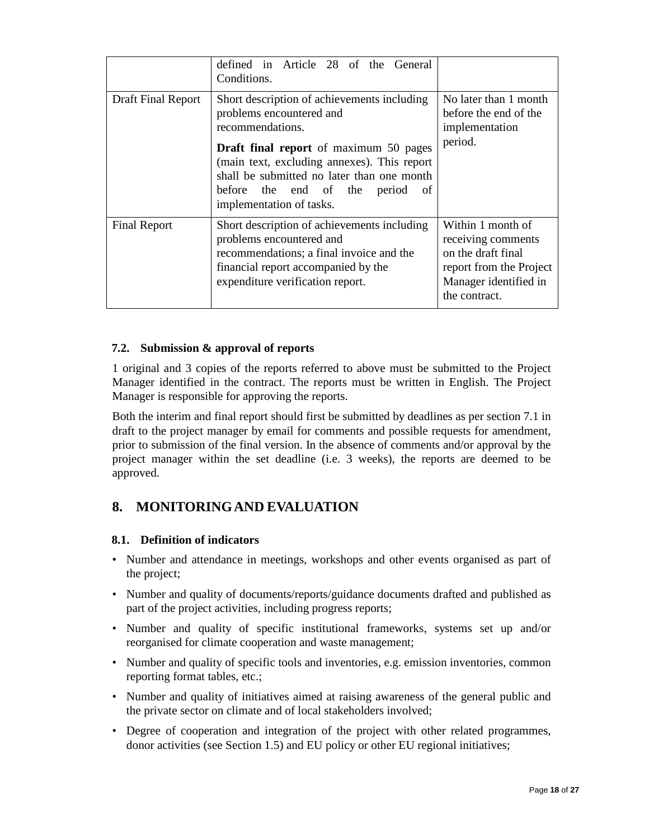|                           | defined in Article 28 of the General<br>Conditions.                                                                                                                                                                                                                                                          |                                                                                                                                    |
|---------------------------|--------------------------------------------------------------------------------------------------------------------------------------------------------------------------------------------------------------------------------------------------------------------------------------------------------------|------------------------------------------------------------------------------------------------------------------------------------|
| <b>Draft Final Report</b> | Short description of achievements including<br>problems encountered and<br>recommendations.<br><b>Draft final report</b> of maximum 50 pages<br>(main text, excluding annexes). This report<br>shall be submitted no later than one month<br>before the end of the period<br>-of<br>implementation of tasks. | No later than 1 month<br>before the end of the<br>implementation<br>period.                                                        |
| <b>Final Report</b>       | Short description of achievements including<br>problems encountered and<br>recommendations; a final invoice and the<br>financial report accompanied by the<br>expenditure verification report.                                                                                                               | Within 1 month of<br>receiving comments<br>on the draft final<br>report from the Project<br>Manager identified in<br>the contract. |

## **7.2. Submission & approval of reports**

1 original and 3 copies of the reports referred to above must be submitted to the Project Manager identified in the contract. The reports must be written in English. The Project Manager is responsible for approving the reports.

Both the interim and final report should first be submitted by deadlines as per section 7.1 in draft to the project manager by email for comments and possible requests for amendment, prior to submission of the final version. In the absence of comments and/or approval by the project manager within the set deadline (i.e. 3 weeks), the reports are deemed to be approved.

# **8. MONITORINGAND EVALUATION**

#### **8.1. Definition of indicators**

- Number and attendance in meetings, workshops and other events organised as part of the project;
- Number and quality of documents/reports/guidance documents drafted and published as part of the project activities, including progress reports;
- Number and quality of specific institutional frameworks, systems set up and/or reorganised for climate cooperation and waste management;
- Number and quality of specific tools and inventories, e.g. emission inventories, common reporting format tables, etc.;
- Number and quality of initiatives aimed at raising awareness of the general public and the private sector on climate and of local stakeholders involved;
- Degree of cooperation and integration of the project with other related programmes, donor activities (see Section 1.5) and EU policy or other EU regional initiatives;